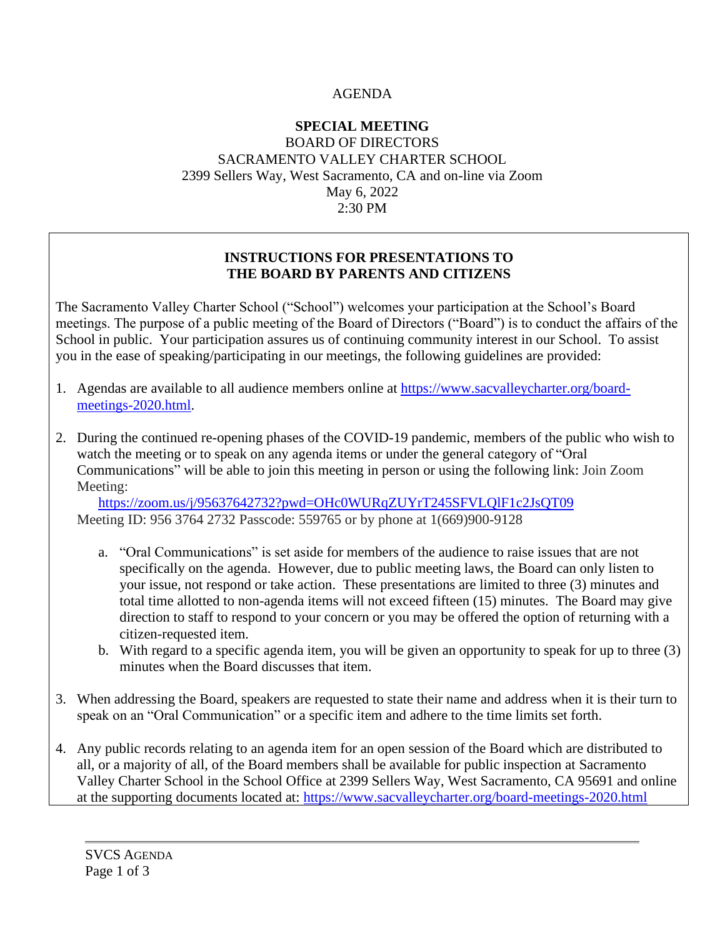## AGENDA

## **SPECIAL MEETING** BOARD OF DIRECTORS SACRAMENTO VALLEY CHARTER SCHOOL 2399 Sellers Way, West Sacramento, CA and on-line via Zoom May 6, 2022 2:30 PM

### **INSTRUCTIONS FOR PRESENTATIONS TO THE BOARD BY PARENTS AND CITIZENS**

The Sacramento Valley Charter School ("School") welcomes your participation at the School's Board meetings. The purpose of a public meeting of the Board of Directors ("Board") is to conduct the affairs of the School in public. Your participation assures us of continuing community interest in our School. To assist you in the ease of speaking/participating in our meetings, the following guidelines are provided:

- 1. Agendas are available to all audience members online at [https://www.sacvalleycharter.org/board](about:blank)[meetings-2020.html.](about:blank)
- 2. During the continued re-opening phases of the COVID-19 pandemic, members of the public who wish to watch the meeting or to speak on any agenda items or under the general category of "Oral Communications" will be able to join this meeting in person or using the following link: Join Zoom Meeting:

<https://zoom.us/j/95637642732?pwd=OHc0WURqZUYrT245SFVLQlF1c2JsQT09> Meeting ID: 956 3764 2732 Passcode: 559765 or by phone at 1(669)900-9128

- a. "Oral Communications" is set aside for members of the audience to raise issues that are not specifically on the agenda. However, due to public meeting laws, the Board can only listen to your issue, not respond or take action. These presentations are limited to three (3) minutes and total time allotted to non-agenda items will not exceed fifteen (15) minutes. The Board may give direction to staff to respond to your concern or you may be offered the option of returning with a citizen-requested item.
- b. With regard to a specific agenda item, you will be given an opportunity to speak for up to three (3) minutes when the Board discusses that item.
- 3. When addressing the Board, speakers are requested to state their name and address when it is their turn to speak on an "Oral Communication" or a specific item and adhere to the time limits set forth.
- 4. Any public records relating to an agenda item for an open session of the Board which are distributed to all, or a majority of all, of the Board members shall be available for public inspection at Sacramento Valley Charter School in the School Office at 2399 Sellers Way, West Sacramento, CA 95691 and online at the supporting documents located at: [https://www.sacvalleycharter.org/board-meetings-2020.html](about:blank)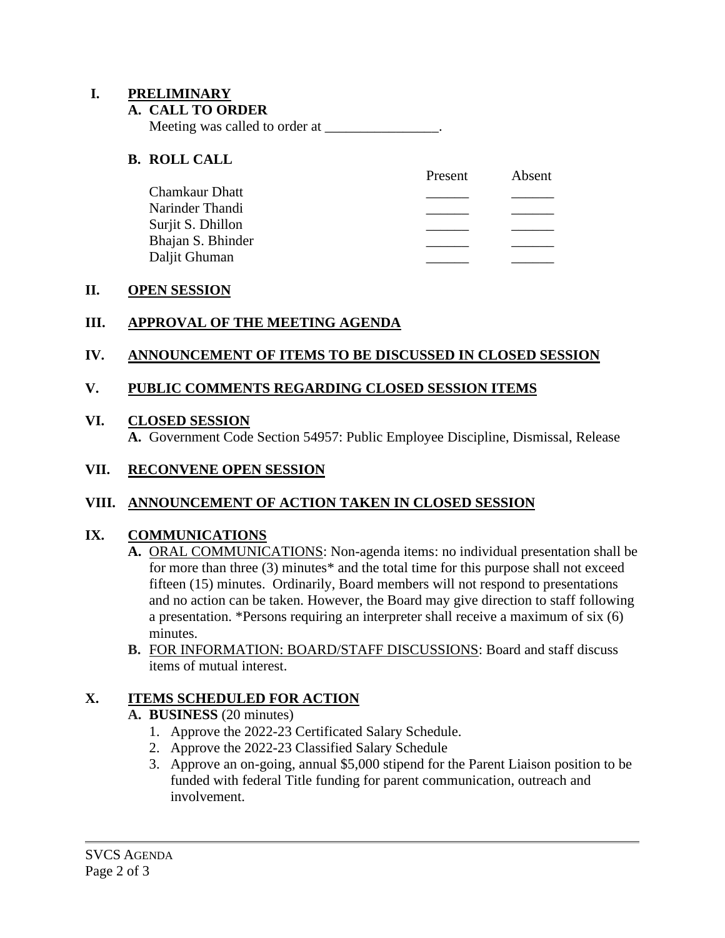### **I. PRELIMINARY**

#### **A. CALL TO ORDER**

Meeting was called to order at \_\_\_\_\_\_\_\_\_\_\_\_\_\_\_\_.

### **B. ROLL CALL**

| Present | Absent |
|---------|--------|
|         |        |
|         |        |
|         |        |
|         |        |
|         |        |
|         |        |

#### **II. OPEN SESSION**

## **III. APPROVAL OF THE MEETING AGENDA**

#### **IV. ANNOUNCEMENT OF ITEMS TO BE DISCUSSED IN CLOSED SESSION**

#### **V. PUBLIC COMMENTS REGARDING CLOSED SESSION ITEMS**

#### **VI. CLOSED SESSION**

**A.** Government Code Section 54957: Public Employee Discipline, Dismissal, Release

#### **VII. RECONVENE OPEN SESSION**

## **VIII. ANNOUNCEMENT OF ACTION TAKEN IN CLOSED SESSION**

#### **IX. COMMUNICATIONS**

- **A.** ORAL COMMUNICATIONS: Non-agenda items: no individual presentation shall be for more than three (3) minutes\* and the total time for this purpose shall not exceed fifteen (15) minutes. Ordinarily, Board members will not respond to presentations and no action can be taken. However, the Board may give direction to staff following a presentation. \*Persons requiring an interpreter shall receive a maximum of six (6) minutes.
- **B.** FOR INFORMATION: BOARD/STAFF DISCUSSIONS: Board and staff discuss items of mutual interest.

#### **X. ITEMS SCHEDULED FOR ACTION**

#### **A. BUSINESS** (20 minutes)

- 1. Approve the 2022-23 Certificated Salary Schedule.
- 2. Approve the 2022-23 Classified Salary Schedule
- 3. Approve an on-going, annual \$5,000 stipend for the Parent Liaison position to be funded with federal Title funding for parent communication, outreach and involvement.